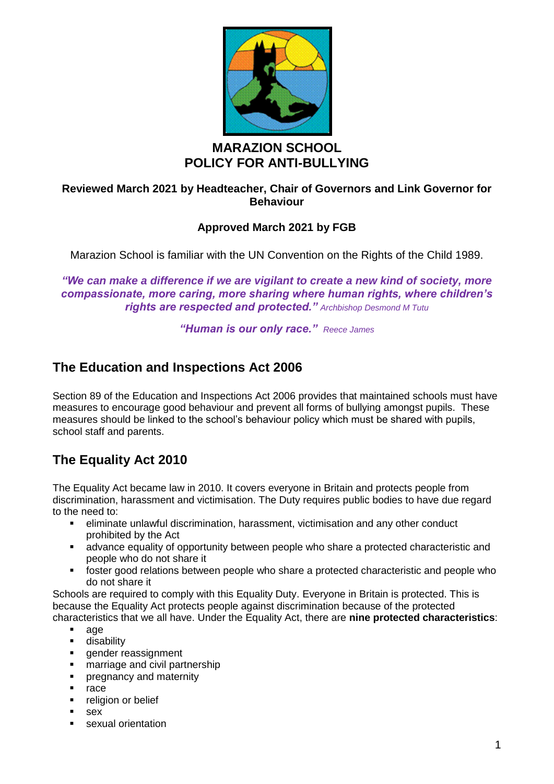

## **MARAZION SCHOOL POLICY FOR ANTI-BULLYING**

## **Reviewed March 2021 by Headteacher, Chair of Governors and Link Governor for Behaviour**

## **Approved March 2021 by FGB**

Marazion School is familiar with the UN Convention on the Rights of the Child 1989.

*"We can make a difference if we are vigilant to create a new kind of society, more compassionate, more caring, more sharing where human rights, where children's rights are respected and protected." Archbishop Desmond M Tutu*

*"Human is our only race." Reece James*

# **The Education and Inspections Act 2006**

Section 89 of the Education and Inspections Act 2006 provides that maintained schools must have measures to encourage good behaviour and prevent all forms of bullying amongst pupils. These measures should be linked to the school's behaviour policy which must be shared with pupils, school staff and parents.

# **The Equality Act 2010**

The Equality Act became law in 2010. It covers everyone in Britain and protects people from discrimination, harassment and victimisation. The Duty requires public bodies to have due regard to the need to:

- eliminate unlawful discrimination, harassment, victimisation and any other conduct prohibited by the Act
- **■** advance equality of opportunity between people who share a protected characteristic and people who do not share it
- foster good relations between people who share a protected characteristic and people who do not share it

Schools are required to comply with this Equality Duty. Everyone in Britain is protected. This is because the Equality Act protects people against discrimination because of the protected characteristics that we all have. Under the Equality Act, there are **nine protected characteristics**:

- age
- **■** disability
- gender reassignment
- **■** marriage and civil partnership
- **•** pregnancy and maternity
- race
- **•** religion or belief
- sex
- sexual orientation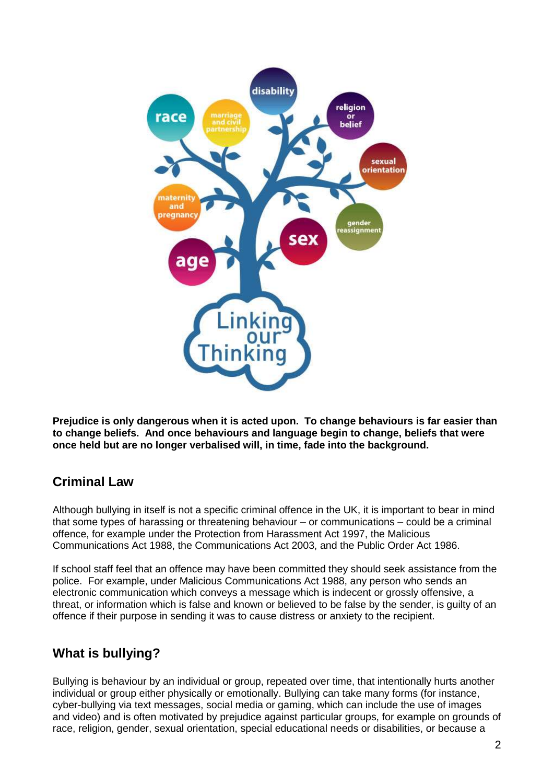

**Prejudice is only dangerous when it is acted upon. To change behaviours is far easier than to change beliefs. And once behaviours and language begin to change, beliefs that were once held but are no longer verbalised will, in time, fade into the background.**

# **Criminal Law**

Although bullying in itself is not a specific criminal offence in the UK, it is important to bear in mind that some types of harassing or threatening behaviour – or communications – could be a criminal offence, for example under the Protection from Harassment Act 1997, the Malicious Communications Act 1988, the Communications Act 2003, and the Public Order Act 1986.

If school staff feel that an offence may have been committed they should seek assistance from the police. For example, under Malicious Communications Act 1988, any person who sends an electronic communication which conveys a message which is indecent or grossly offensive, a threat, or information which is false and known or believed to be false by the sender, is guilty of an offence if their purpose in sending it was to cause distress or anxiety to the recipient.

# **What is bullying?**

Bullying is behaviour by an individual or group, repeated over time, that intentionally hurts another individual or group either physically or emotionally. Bullying can take many forms (for instance, cyber-bullying via text messages, social media or gaming, which can include the use of images and video) and is often motivated by prejudice against particular groups, for example on grounds of race, religion, gender, sexual orientation, special educational needs or disabilities, or because a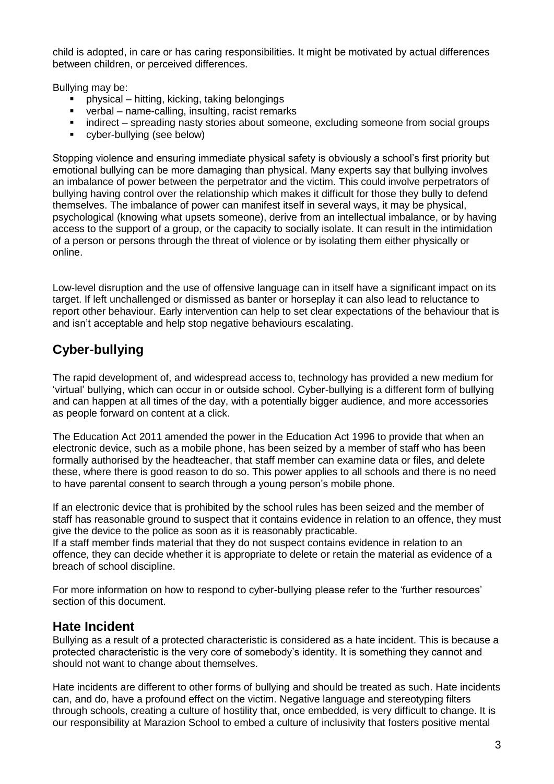child is adopted, in care or has caring responsibilities. It might be motivated by actual differences between children, or perceived differences.

Bullying may be:

- physical hitting, kicking, taking belongings
- verbal name-calling, insulting, racist remarks
- indirect spreading nasty stories about someone, excluding someone from social groups
- cyber-bullying (see below)

Stopping violence and ensuring immediate physical safety is obviously a school's first priority but emotional bullying can be more damaging than physical. Many experts say that bullying involves an imbalance of power between the perpetrator and the victim. This could involve perpetrators of bullying having control over the relationship which makes it difficult for those they bully to defend themselves. The imbalance of power can manifest itself in several ways, it may be physical, psychological (knowing what upsets someone), derive from an intellectual imbalance, or by having access to the support of a group, or the capacity to socially isolate. It can result in the intimidation of a person or persons through the threat of violence or by isolating them either physically or online.

Low-level disruption and the use of offensive language can in itself have a significant impact on its target. If left unchallenged or dismissed as banter or horseplay it can also lead to reluctance to report other behaviour. Early intervention can help to set clear expectations of the behaviour that is and isn't acceptable and help stop negative behaviours escalating.

# **Cyber-bullying**

The rapid development of, and widespread access to, technology has provided a new medium for 'virtual' bullying, which can occur in or outside school. Cyber-bullying is a different form of bullying and can happen at all times of the day, with a potentially bigger audience, and more accessories as people forward on content at a click.

The Education Act 2011 amended the power in the Education Act 1996 to provide that when an electronic device, such as a mobile phone, has been seized by a member of staff who has been formally authorised by the headteacher, that staff member can examine data or files, and delete these, where there is good reason to do so. This power applies to all schools and there is no need to have parental consent to search through a young person's mobile phone.

If an electronic device that is prohibited by the school rules has been seized and the member of staff has reasonable ground to suspect that it contains evidence in relation to an offence, they must give the device to the police as soon as it is reasonably practicable.

If a staff member finds material that they do not suspect contains evidence in relation to an offence, they can decide whether it is appropriate to delete or retain the material as evidence of a breach of school discipline.

For more information on how to respond to cyber-bullying please refer to the 'further resources' section of this document.

## **Hate Incident**

Bullying as a result of a protected characteristic is considered as a hate incident. This is because a protected characteristic is the very core of somebody's identity. It is something they cannot and should not want to change about themselves.

Hate incidents are different to other forms of bullying and should be treated as such. Hate incidents can, and do, have a profound effect on the victim. Negative language and stereotyping filters through schools, creating a culture of hostility that, once embedded, is very difficult to change. It is our responsibility at Marazion School to embed a culture of inclusivity that fosters positive mental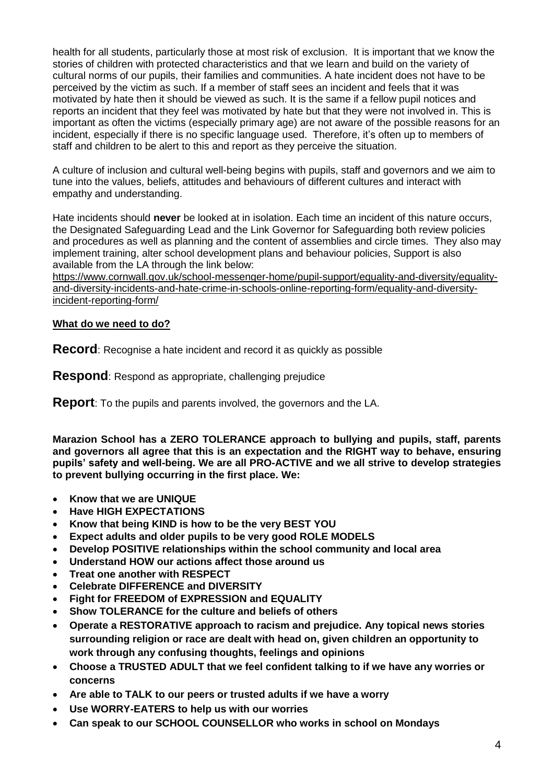health for all students, particularly those at most risk of exclusion. It is important that we know the stories of children with protected characteristics and that we learn and build on the variety of cultural norms of our pupils, their families and communities. A hate incident does not have to be perceived by the victim as such. If a member of staff sees an incident and feels that it was motivated by hate then it should be viewed as such. It is the same if a fellow pupil notices and reports an incident that they feel was motivated by hate but that they were not involved in. This is important as often the victims (especially primary age) are not aware of the possible reasons for an incident, especially if there is no specific language used. Therefore, it's often up to members of staff and children to be alert to this and report as they perceive the situation.

A culture of inclusion and cultural well-being begins with pupils, staff and governors and we aim to tune into the values, beliefs, attitudes and behaviours of different cultures and interact with empathy and understanding.

Hate incidents should **never** be looked at in isolation. Each time an incident of this nature occurs, the Designated Safeguarding Lead and the Link Governor for Safeguarding both review policies and procedures as well as planning and the content of assemblies and circle times. They also may implement training, alter school development plans and behaviour policies, Support is also available from the LA through the link below:

[https://www.cornwall.gov.uk/school-messenger-home/pupil-support/equality-and-diversity/equality](https://www.cornwall.gov.uk/school-messenger-home/pupil-support/equality-and-diversity/equality-and-diversity-incidents-and-hate-crime-in-schools-online-reporting-form/equality-and-diversity-incident-reporting-form/)[and-diversity-incidents-and-hate-crime-in-schools-online-reporting-form/equality-and-diversity](https://www.cornwall.gov.uk/school-messenger-home/pupil-support/equality-and-diversity/equality-and-diversity-incidents-and-hate-crime-in-schools-online-reporting-form/equality-and-diversity-incident-reporting-form/)[incident-reporting-form/](https://www.cornwall.gov.uk/school-messenger-home/pupil-support/equality-and-diversity/equality-and-diversity-incidents-and-hate-crime-in-schools-online-reporting-form/equality-and-diversity-incident-reporting-form/)

#### **What do we need to do?**

**Record**: Recognise a hate incident and record it as quickly as possible

**Respond**: Respond as appropriate, challenging prejudice

**Report**: To the pupils and parents involved, the governors and the LA.

**Marazion School has a ZERO TOLERANCE approach to bullying and pupils, staff, parents and governors all agree that this is an expectation and the RIGHT way to behave, ensuring pupils' safety and well-being. We are all PRO-ACTIVE and we all strive to develop strategies to prevent bullying occurring in the first place. We:**

- **Know that we are UNIQUE**
- **Have HIGH EXPECTATIONS**
- **Know that being KIND is how to be the very BEST YOU**
- **Expect adults and older pupils to be very good ROLE MODELS**
- **Develop POSITIVE relationships within the school community and local area**
- **Understand HOW our actions affect those around us**
- **Treat one another with RESPECT**
- **Celebrate DIFFERENCE and DIVERSITY**
- **Fight for FREEDOM of EXPRESSION and EQUALITY**
- **Show TOLERANCE for the culture and beliefs of others**
- **Operate a RESTORATIVE approach to racism and prejudice. Any topical news stories surrounding religion or race are dealt with head on, given children an opportunity to work through any confusing thoughts, feelings and opinions**
- **Choose a TRUSTED ADULT that we feel confident talking to if we have any worries or concerns**
- **Are able to TALK to our peers or trusted adults if we have a worry**
- **Use WORRY-EATERS to help us with our worries**
- **Can speak to our SCHOOL COUNSELLOR who works in school on Mondays**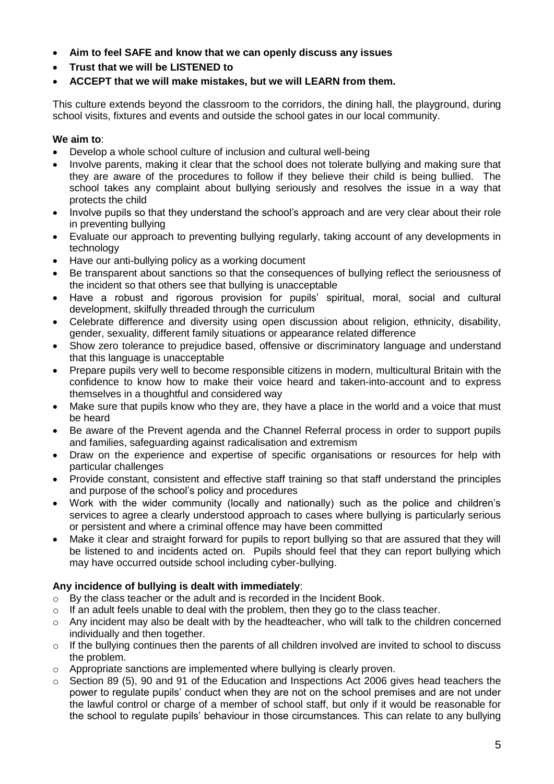- **Aim to feel SAFE and know that we can openly discuss any issues**
- **Trust that we will be LISTENED to**
- **ACCEPT that we will make mistakes, but we will LEARN from them.**

This culture extends beyond the classroom to the corridors, the dining hall, the playground, during school visits, fixtures and events and outside the school gates in our local community.

#### **We aim to**:

- Develop a whole school culture of inclusion and cultural well-being
- Involve parents, making it clear that the school does not tolerate bullying and making sure that they are aware of the procedures to follow if they believe their child is being bullied. The school takes any complaint about bullying seriously and resolves the issue in a way that protects the child
- Involve pupils so that they understand the school's approach and are very clear about their role in preventing bullying
- Evaluate our approach to preventing bullying regularly, taking account of any developments in technology
- Have our anti-bullying policy as a working document
- Be transparent about sanctions so that the consequences of bullying reflect the seriousness of the incident so that others see that bullying is unacceptable
- Have a robust and rigorous provision for pupils' spiritual, moral, social and cultural development, skilfully threaded through the curriculum
- Celebrate difference and diversity using open discussion about religion, ethnicity, disability, gender, sexuality, different family situations or appearance related difference
- Show zero tolerance to prejudice based, offensive or discriminatory language and understand that this language is unacceptable
- Prepare pupils very well to become responsible citizens in modern, multicultural Britain with the confidence to know how to make their voice heard and taken-into-account and to express themselves in a thoughtful and considered way
- Make sure that pupils know who they are, they have a place in the world and a voice that must be heard
- Be aware of the Prevent agenda and the Channel Referral process in order to support pupils and families, safeguarding against radicalisation and extremism
- Draw on the experience and expertise of specific organisations or resources for help with particular challenges
- Provide constant, consistent and effective staff training so that staff understand the principles and purpose of the school's policy and procedures
- Work with the wider community (locally and nationally) such as the police and children's services to agree a clearly understood approach to cases where bullying is particularly serious or persistent and where a criminal offence may have been committed
- Make it clear and straight forward for pupils to report bullying so that are assured that they will be listened to and incidents acted on. Pupils should feel that they can report bullying which may have occurred outside school including cyber-bullying.

## **Any incidence of bullying is dealt with immediately**:

- $\circ$  By the class teacher or the adult and is recorded in the Incident Book.
- o If an adult feels unable to deal with the problem, then they go to the class teacher.
- o Any incident may also be dealt with by the headteacher, who will talk to the children concerned individually and then together.
- o If the bullying continues then the parents of all children involved are invited to school to discuss the problem.
- o Appropriate sanctions are implemented where bullying is clearly proven.
- o Section 89 (5), 90 and 91 of the Education and Inspections Act 2006 gives head teachers the power to regulate pupils' conduct when they are not on the school premises and are not under the lawful control or charge of a member of school staff, but only if it would be reasonable for the school to regulate pupils' behaviour in those circumstances. This can relate to any bullying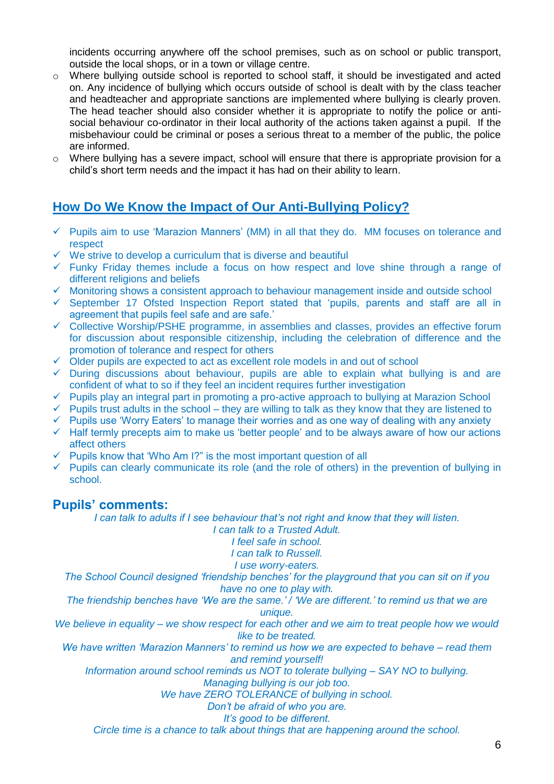incidents occurring anywhere off the school premises, such as on school or public transport, outside the local shops, or in a town or village centre.

- $\circ$  Where bullying outside school is reported to school staff, it should be investigated and acted on. Any incidence of bullying which occurs outside of school is dealt with by the class teacher and headteacher and appropriate sanctions are implemented where bullying is clearly proven. The head teacher should also consider whether it is appropriate to notify the police or antisocial behaviour co-ordinator in their local authority of the actions taken against a pupil. If the misbehaviour could be criminal or poses a serious threat to a member of the public, the police are informed.
- $\circ$  Where bullying has a severe impact, school will ensure that there is appropriate provision for a child's short term needs and the impact it has had on their ability to learn.

## **How Do We Know the Impact of Our Anti-Bullying Policy?**

- $\checkmark$  Pupils aim to use 'Marazion Manners' (MM) in all that they do. MM focuses on tolerance and respect
- ✓ We strive to develop a curriculum that is diverse and beautiful
- ✓ Funky Friday themes include a focus on how respect and love shine through a range of different religions and beliefs
- ✓ Monitoring shows a consistent approach to behaviour management inside and outside school
- ✓ September 17 Ofsted Inspection Report stated that 'pupils, parents and staff are all in agreement that pupils feel safe and are safe.'
- ✓ Collective Worship/PSHE programme, in assemblies and classes, provides an effective forum for discussion about responsible citizenship, including the celebration of difference and the promotion of tolerance and respect for others
- $\checkmark$  Older pupils are expected to act as excellent role models in and out of school
- $\checkmark$  During discussions about behaviour, pupils are able to explain what bullying is and are confident of what to so if they feel an incident requires further investigation
- ✓ Pupils play an integral part in promoting a pro-active approach to bullying at Marazion School
- $\checkmark$  Pupils trust adults in the school they are willing to talk as they know that they are listened to
- $\checkmark$  Pupils use 'Worry Eaters' to manage their worries and as one way of dealing with any anxiety
- ✓ Half termly precepts aim to make us 'better people' and to be always aware of how our actions affect others
- $\checkmark$  Pupils know that 'Who Am I?" is the most important question of all
- $\checkmark$  Pupils can clearly communicate its role (and the role of others) in the prevention of bullying in school.

## **Pupils' comments:**

*I can talk to adults if I see behaviour that's not right and know that they will listen.*

*I can talk to a Trusted Adult. I feel safe in school.*

*I can talk to Russell. I use worry-eaters.*

*The School Council designed 'friendship benches' for the playground that you can sit on if you have no one to play with.*

*The friendship benches have 'We are the same.' / 'We are different.' to remind us that we are unique.*

*We believe in equality – we show respect for each other and we aim to treat people how we would like to be treated.*

*We have written 'Marazion Manners' to remind us how we are expected to behave – read them and remind yourself!*

*Information around school reminds us NOT to tolerate bullying – SAY NO to bullying.*

*Managing bullying is our job too.*

*We have ZERO TOLERANCE of bullying in school.*

*Don't be afraid of who you are.*

*It's good to be different.*

*Circle time is a chance to talk about things that are happening around the school.*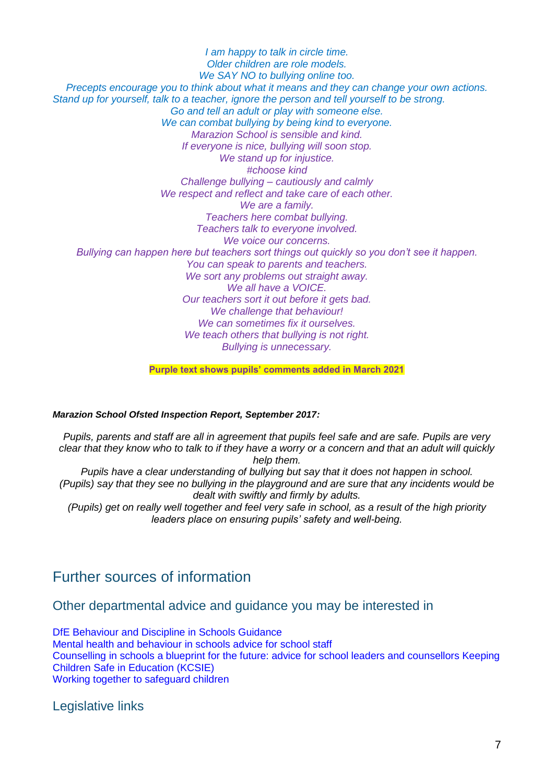*I am happy to talk in circle time. Older children are role models. We SAY NO to bullying online too. Precepts encourage you to think about what it means and they can change your own actions. Stand up for yourself, talk to a teacher, ignore the person and tell yourself to be strong. Go and tell an adult or play with someone else. We can combat bullying by being kind to everyone. Marazion School is sensible and kind. If everyone is nice, bullying will soon stop. We stand up for injustice. #choose kind Challenge bullying – cautiously and calmly We respect and reflect and take care of each other. We are a family. Teachers here combat bullying. Teachers talk to everyone involved. We voice our concerns. Bullying can happen here but teachers sort things out quickly so you don't see it happen. You can speak to parents and teachers. We sort any problems out straight away. We all have a VOICE. Our teachers sort it out before it gets bad. We challenge that behaviour! We can sometimes fix it ourselves. We teach others that bullying is not right. Bullying is unnecessary.*

**Purple text shows pupils' comments added in March 2021**

#### *Marazion School Ofsted Inspection Report, September 2017:*

*Pupils, parents and staff are all in agreement that pupils feel safe and are safe. Pupils are very clear that they know who to talk to if they have a worry or a concern and that an adult will quickly help them. Pupils have a clear understanding of bullying but say that it does not happen in school. (Pupils) say that they see no bullying in the playground and are sure that any incidents would be dealt with swiftly and firmly by adults. (Pupils) get on really well together and feel very safe in school, as a result of the high priority leaders place on ensuring pupils' safety and well-being.*

# Further sources of information

Other departmental advice and guidance you may be interested in

DfE Behaviour and Discipline in Schools Guidance Mental health and behaviour in schools advice for school staff Counselling in schools a blueprint for the future: advice for school leaders and counsellors Keeping Children Safe in Education (KCSIE) Working together to safeguard children

Legislative links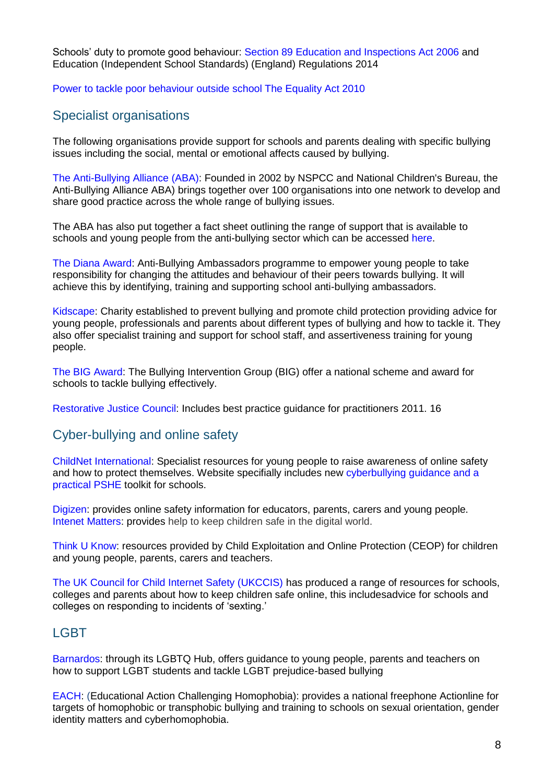Schools' duty to promote good behaviour: Section 89 Education and Inspections Act 2006 and Education (Independent School Standards) (England) Regulations 2014

Power to tackle poor behaviour outside school The Equality Act 2010

## Specialist organisations

The following organisations provide support for schools and parents dealing with specific bullying issues including the social, mental or emotional affects caused by bullying.

The Anti-Bullying Alliance (ABA): Founded in 2002 by NSPCC and National Children's Bureau, the Anti-Bullying Alliance ABA) brings together over 100 organisations into one network to develop and share good practice across the whole range of bullying issues.

The ABA has also put together a fact sheet outlining the range of support that is available to schools and young people from the anti-bullying sector which can be accessed here.

The Diana Award: Anti-Bullying Ambassadors programme to empower young people to take responsibility for changing the attitudes and behaviour of their peers towards bullying. It will achieve this by identifying, training and supporting school anti-bullying ambassadors.

Kidscape: Charity established to prevent bullying and promote child protection providing advice for young people, professionals and parents about different types of bullying and how to tackle it. They also offer specialist training and support for school staff, and assertiveness training for young people.

The BIG Award: The Bullying Intervention Group (BIG) offer a national scheme and award for schools to tackle bullying effectively.

Restorative Justice Council: Includes best practice guidance for practitioners 2011. 16

## Cyber-bullying and online safety

ChildNet International: Specialist resources for young people to raise awareness of online safety and how to protect themselves. Website specifially includes new cyberbullying guidance and a practical PSHE toolkit for schools.

Digizen: provides online safety information for educators, parents, carers and young people. Intenet Matters: provides help to keep children safe in the digital world.

Think U Know: resources provided by Child Exploitation and Online Protection (CEOP) for children and young people, parents, carers and teachers.

The UK Council for Child Internet Safety (UKCCIS) has produced a range of resources for schools, colleges and parents about how to keep children safe online, this includesadvice for schools and colleges on responding to incidents of 'sexting.'

## **LGBT**

Barnardos: through its LGBTQ Hub, offers guidance to young people, parents and teachers on how to support LGBT students and tackle LGBT prejudice-based bullying

EACH: (Educational Action Challenging Homophobia): provides a national freephone Actionline for targets of homophobic or transphobic bullying and training to schools on sexual orientation, gender identity matters and cyberhomophobia.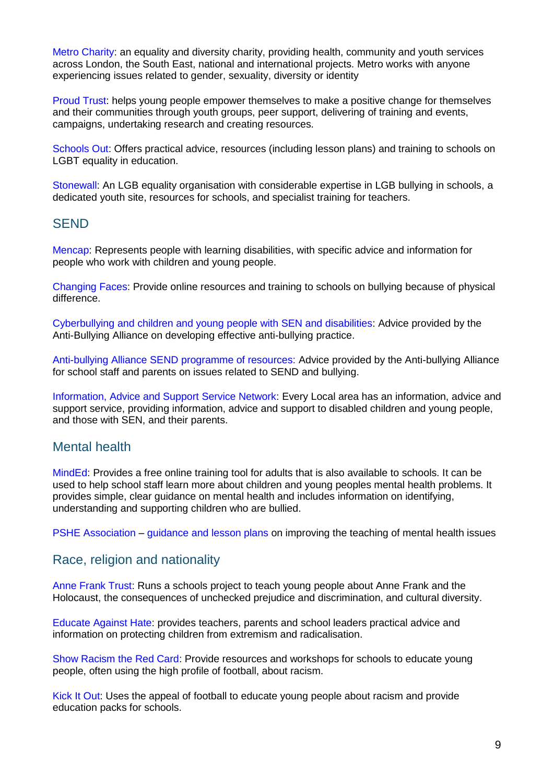Metro Charity: an equality and diversity charity, providing health, community and youth services across London, the South East, national and international projects. Metro works with anyone experiencing issues related to gender, sexuality, diversity or identity

Proud Trust: helps young people empower themselves to make a positive change for themselves and their communities through youth groups, peer support, delivering of training and events, campaigns, undertaking research and creating resources.

Schools Out: Offers practical advice, resources (including lesson plans) and training to schools on LGBT equality in education.

Stonewall: An LGB equality organisation with considerable expertise in LGB bullying in schools, a dedicated youth site, resources for schools, and specialist training for teachers.

## **SEND**

Mencap: Represents people with learning disabilities, with specific advice and information for people who work with children and young people.

Changing Faces: Provide online resources and training to schools on bullying because of physical difference.

Cyberbullying and children and young people with SEN and disabilities: Advice provided by the Anti-Bullying Alliance on developing effective anti-bullying practice.

Anti-bullying Alliance SEND programme of resources: Advice provided by the Anti-bullying Alliance for school staff and parents on issues related to SEND and bullying.

Information, Advice and Support Service Network: Every Local area has an information, advice and support service, providing information, advice and support to disabled children and young people, and those with SEN, and their parents.

## Mental health

MindEd: Provides a free online training tool for adults that is also available to schools. It can be used to help school staff learn more about children and young peoples mental health problems. It provides simple, clear guidance on mental health and includes information on identifying, understanding and supporting children who are bullied.

PSHE Association – guidance and lesson plans on improving the teaching of mental health issues

## Race, religion and nationality

Anne Frank Trust: Runs a schools project to teach young people about Anne Frank and the Holocaust, the consequences of unchecked prejudice and discrimination, and cultural diversity.

Educate Against Hate: provides teachers, parents and school leaders practical advice and information on protecting children from extremism and radicalisation.

Show Racism the Red Card: Provide resources and workshops for schools to educate young people, often using the high profile of football, about racism.

Kick It Out: Uses the appeal of football to educate young people about racism and provide education packs for schools.